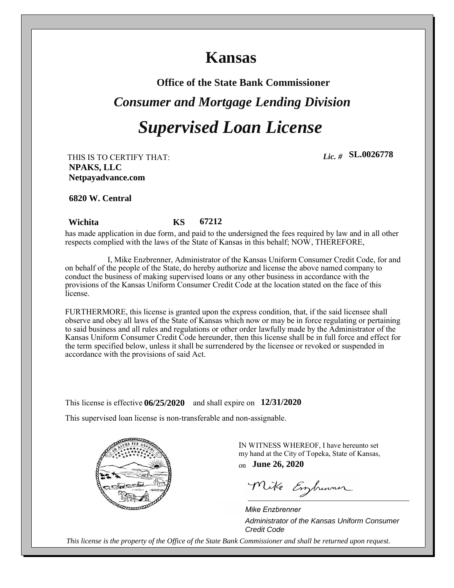## **Kansas**

**Office of the State Bank Commissioner**

## *Supervised Loan License Consumer and Mortgage Lending Division*

THIS IS TO CERTIFY THAT: THIS IS TO CERTIFY THAT: Lic. # **SL.0026778**<br>**NPAKS, LLC**<br>Netpayadvance.com **Wichita NPAKS, LLC <sup>67212</sup>**

*Lic.* # **SL.0026778** 

**6820 W. Central**

## **KS**

has made application in due form, and paid to the undersigned the fees required by law and in all other respects complied with the laws of the State of Kansas in this behalf; NOW, THEREFORE,

 I, Mike Enzbrenner, Administrator of the Kansas Uniform Consumer Credit Code, for and on behalf of the people of the State, do hereby authorize and license the above named company to conduct the business of making supervised loans or any other business in accordance with the provisions of the Kansas Uniform Consumer Credit Code at the location stated on the face of this license.

FURTHERMORE, this license is granted upon the express condition, that, if the said licensee shall observe and obey all laws of the State of Kansas which now or may be in force regulating or pertaining to said business and all rules and regulations or other order lawfully made by the Administrator of the Kansas Uniform Consumer Credit Code hereunder, then this license shall be in full force and effect for the term specified below, unless it shall be surrendered by the licensee or revoked or suspended in accordance with the provisions of said Act.

This license is effective  $06/25/2020$  and shall expire on  $12/31/2020$ 

This supervised loan license is non-transferable and non-assignable.



IN WITNESS WHEREOF, I have hereunto set my hand at the City of Topeka, State of Kansas,

on **June 26, 2020**

Mike Emprenner

 *Mike Enzbrenner Administrator of the Kansas Uniform Consumer Credit Code*

*This license is the property of the Office of the State Bank Commissioner and shall be returned upon request.*